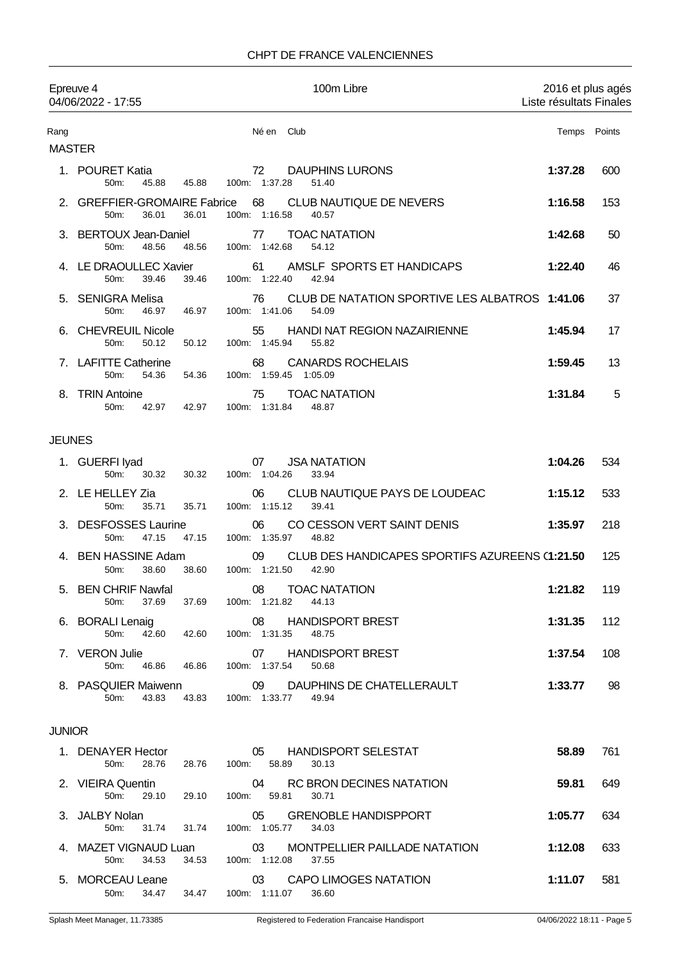## CHPT DE FRANCE VALENCIENNES

|                       | Epreuve 4<br>04/06/2022 - 17:55                 |       | 100m Libre                                                                       | 2016 et plus agés<br>Liste résultats Finales |        |
|-----------------------|-------------------------------------------------|-------|----------------------------------------------------------------------------------|----------------------------------------------|--------|
| Rang<br><b>MASTER</b> |                                                 |       | Né en<br>Club                                                                    | Temps                                        | Points |
|                       | 1. POURET Katia<br>50m:<br>45.88                | 45.88 | 72<br><b>DAUPHINS LURONS</b><br>100m: 1:37.28<br>51.40                           | 1:37.28                                      | 600    |
|                       | 2. GREFFIER-GROMAIRE Fabrice<br>50m:<br>36.01   | 36.01 | 68<br>CLUB NAUTIQUE DE NEVERS<br>100m: 1:16.58<br>40.57                          | 1:16.58                                      | 153    |
| З.                    | <b>BERTOUX Jean-Daniel</b><br>50m:<br>48.56     | 48.56 | <b>TOAC NATATION</b><br>77<br>100m: 1:42.68<br>54.12                             | 1:42.68                                      | 50     |
|                       | 4. LE DRAOULLEC Xavier<br>50m:<br>39.46         | 39.46 | AMSLF SPORTS ET HANDICAPS<br>61<br>100m: 1:22.40<br>42.94                        | 1:22.40                                      | 46     |
| 5.                    | SENIGRA Melisa<br>50m:<br>46.97                 | 46.97 | CLUB DE NATATION SPORTIVE LES ALBATROS 1:41.06<br>76<br>100m: 1:41.06<br>54.09   |                                              | 37     |
|                       | <b>CHEVREUIL Nicole</b><br>50m:<br>50.12        | 50.12 | HANDI NAT REGION NAZAIRIENNE<br>55<br>100m: 1:45.94<br>55.82                     | 1:45.94                                      | 17     |
|                       | <b>LAFITTE Catherine</b><br>50m:<br>54.36       | 54.36 | <b>CANARDS ROCHELAIS</b><br>68<br>100m: 1:59.45<br>1:05.09                       | 1:59.45                                      | 13     |
| 8.                    | <b>TRIN Antoine</b><br>50m:<br>42.97            | 42.97 | <b>TOAC NATATION</b><br>75<br>100m: 1:31.84<br>48.87                             | 1:31.84                                      | 5      |
| <b>JEUNES</b>         |                                                 |       |                                                                                  |                                              |        |
|                       | 1. GUERFI Iyad<br>50m:<br>30.32                 | 30.32 | <b>JSA NATATION</b><br>07<br>100m: 1:04.26<br>33.94                              | 1:04.26                                      | 534    |
|                       | 2. LE HELLEY Zia<br>50m:<br>35.71               | 35.71 | 06<br>CLUB NAUTIQUE PAYS DE LOUDEAC<br>100m: 1:15.12<br>39.41                    | 1:15.12                                      | 533    |
| 3.                    | <b>DESFOSSES Laurine</b><br>50m:<br>47.15       | 47.15 | 06<br>CO CESSON VERT SAINT DENIS<br>100m: 1:35.97<br>48.82                       | 1:35.97                                      | 218    |
|                       | 4. BEN HASSINE Adam<br>50m:<br>38.60            | 38.60 | CLUB DES HANDICAPES SPORTIFS AZUREENS (1:21.50<br>09<br>100m: 1:21.50<br>42.90   |                                              | 125    |
|                       | 5. BEN CHRIF Nawfal<br>50m:<br>37.69            | 37.69 | 08 TOAC NATATION<br>100m: 1:21.82<br>44.13                                       | 1:21.82                                      | 119    |
|                       | 6. BORALI Lenaig<br>42.60 42.60<br>50m:         |       | <b>HANDISPORT BREST</b><br>08<br>100m: 1:31.35<br>48.75                          | 1:31.35                                      | 112    |
|                       | 7. VERON Julie<br>46.86<br>50m:                 | 46.86 | 07 HANDISPORT BREST<br>100m: 1:37.54<br>50.68                                    | 1:37.54                                      | 108    |
|                       | 8. PASQUIER Maiwenn<br>43.83<br>50 <sub>m</sub> | 43.83 | 09 DAUPHINS DE CHATELLERAULT<br>100m: 1:33.77 49.94                              | 1:33.77                                      | 98     |
| <b>JUNIOR</b>         |                                                 |       |                                                                                  |                                              |        |
|                       | 1. DENAYER Hector<br>28.76<br>50m:              | 28.76 | 05 HANDISPORT SELESTAT<br>100m: 58.89<br>30.13                                   | 58.89                                        | 761    |
|                       | 2. VIEIRA Quentin<br>50m:<br>29.10              | 29.10 | RC BRON DECINES NATATION<br>04<br>100m: 59.81<br>30.71                           | 59.81                                        | 649    |
|                       | 3. JALBY Nolan<br>50 <sub>m</sub> :<br>31.74    | 31.74 | 05<br><b>GRENOBLE HANDISPPORT</b><br>100m: 1:05.77<br>34.03                      | 1:05.77                                      | 634    |
|                       | 50m:<br>34.53                                   | 34.53 | 4. MAZET VIGNAUD Luan 03 MONTPELLIER PAILLADE NATATION<br>100m: 1:12.08<br>37.55 | 1:12.08                                      | 633    |
|                       | 5. MORCEAU Leane                                |       | 03 CAPO LIMOGES NATATION                                                         | 1:11.07                                      | 581    |

50m: 34.47 34.47 100m: 1:11.07 36.60